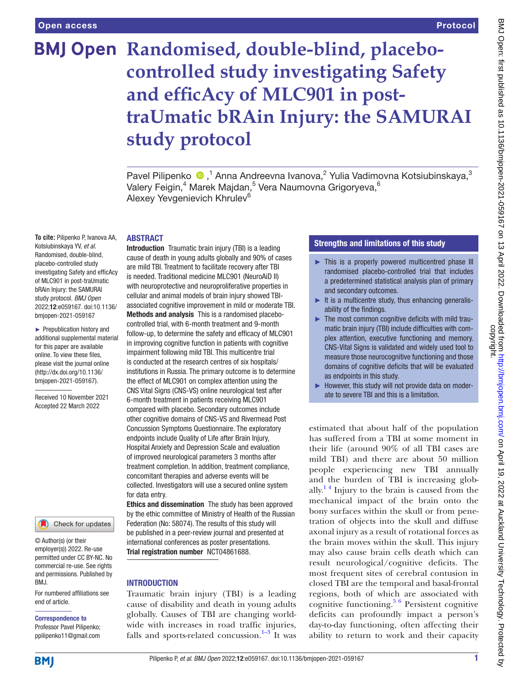# **BMJ Open Randomised, double-blind, placebocontrolled study investigating Safety and efficAcy of MLC901 in posttraUmatic bRAin Injury: the SAMURAI study protocol**

Pavel Pilipenko <sup>®</sup>,<sup>1</sup> Anna Andreevna Ivanova,<sup>2</sup> Yulia Vadimovna Kotsiubinskaya,<sup>3</sup> Valery Feigin, $^4$  Marek Majdan, $^5$  Vera Naumovna Grigoryeva, $^6$ Alexey Yevgenievich Khrulev<sup>6</sup>

#### ABSTRACT

**To cite:** Pilipenko P, Ivanova AA, Kotsiubinskaya YV, *et al*. Randomised, double-blind, placebo-controlled study investigating Safety and efficAcy of MLC901 in post-traUmatic bRAin Injury: the SAMURAI study protocol. *BMJ Open* 2022;12:e059167. doi:10.1136/ bmjopen-2021-059167

► Prepublication history and additional supplemental material for this paper are available online. To view these files, please visit the journal online [\(http://dx.doi.org/10.1136/](http://dx.doi.org/10.1136/bmjopen-2021-059167) [bmjopen-2021-059167](http://dx.doi.org/10.1136/bmjopen-2021-059167)).

Received 10 November 2021 Accepted 22 March 2022



© Author(s) (or their employer(s)) 2022. Re-use permitted under CC BY-NC. No commercial re-use. See rights and permissions. Published by BMJ.

For numbered affiliations see end of article.

# Correspondence to

Professor Pavel Pilipenko; ppilipenko11@gmail.com

Introduction Traumatic brain injury (TBI) is a leading cause of death in young adults globally and 90% of cases are mild TBI. Treatment to facilitate recovery after TBI is needed. Traditional medicine MLC901 (NeuroAiD II) with neuroprotective and neuroproliferative properties in cellular and animal models of brain injury showed TBIassociated cognitive improvement in mild or moderate TBI. Methods and analysis This is a randomised placebocontrolled trial, with 6-month treatment and 9-month follow-up, to determine the safety and efficacy of MLC901 in improving cognitive function in patients with cognitive impairment following mild TBI. This multicentre trial is conducted at the research centres of six hospitals/ institutions in Russia. The primary outcome is to determine the effect of MLC901 on complex attention using the CNS Vital Signs (CNS-VS) online neurological test after 6-month treatment in patients receiving MLC901 compared with placebo. Secondary outcomes include other cognitive domains of CNS-VS and Rivermead Post Concussion Symptoms Questionnaire. The exploratory endpoints include Quality of Life after Brain Injury, Hospital Anxiety and Depression Scale and evaluation of improved neurological parameters 3 months after treatment completion. In addition, treatment compliance, concomitant therapies and adverse events will be collected. Investigators will use a secured online system for data entry.

Ethics and dissemination The study has been approved by the ethic committee of Ministry of Health of the Russian Federation (No: 58074). The results of this study will be published in a peer-review journal and presented at international conferences as poster presentations. Trial registration number <NCT04861688>.

### **INTRODUCTION**

Traumatic brain injury (TBI) is a leading cause of disability and death in young adults globally. Causes of TBI are changing worldwide with increases in road traffic injuries, falls and sports-related concussion.<sup>1–3</sup> It was

## Strengths and limitations of this study

- ► This is a properly powered multicentred phase III randomised placebo-controlled trial that includes a predetermined statistical analysis plan of primary and secondary outcomes.
- $\blacktriangleright$  It is a multicentre study, thus enhancing generalisability of the findings.
- ► The most common cognitive deficits with mild traumatic brain injury (TBI) include difficulties with complex attention, executive functioning and memory. CNS-Vital Signs is validated and widely used tool to measure those neurocognitive functioning and those domains of cognitive deficits that will be evaluated as endpoints in this study.
- However, this study will not provide data on moderate to severe TBI and this is a limitation.

estimated that about half of the population has suffered from a TBI at some moment in their life (around 90% of all TBI cases are mild TBI) and there are about 50 million people experiencing new TBI annually and the burden of TBI is increasing globally.<sup>14</sup> Injury to the brain is caused from the mechanical impact of the brain onto the bony surfaces within the skull or from penetration of objects into the skull and diffuse axonal injury as a result of rotational forces as the brain moves within the skull. This injury may also cause brain cells death which can result neurological/cognitive deficits. The most frequent sites of cerebral contusion in closed TBI are the temporal and basal-frontal regions, both of which are associated with cognitive functioning.<sup>[5 6](#page-7-1)</sup> Persistent cognitive deficits can profoundly impact a person's day-to-day functioning, often affecting their ability to return to work and their capacity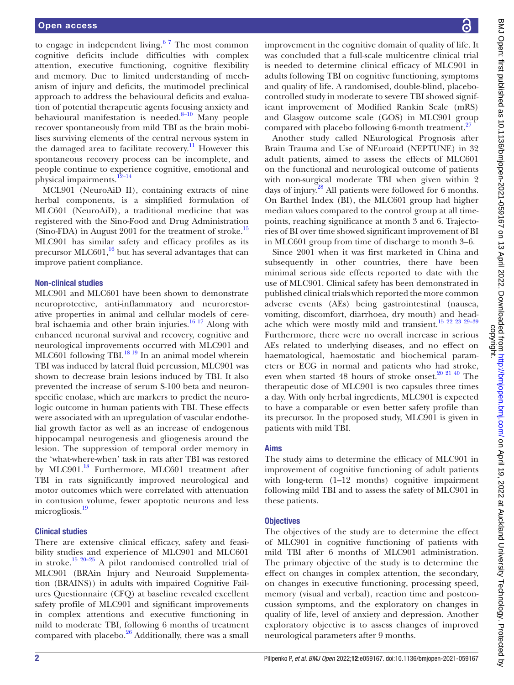to engage in independent living. $67$  The most common cognitive deficits include difficulties with complex attention, executive functioning, cognitive flexibility and memory. Due to limited understanding of mechanism of injury and deficits, the mutimodel preclinical approach to address the behavioural deficits and evaluation of potential therapeutic agents focusing anxiety and behavioural manifestation is needed. $8-10$  Many people recover spontaneously from mild TBI as the brain mobilises surviving elements of the central nervous system in the damaged area to facilitate recovery.<sup>11</sup> However this spontaneous recovery process can be incomplete, and people continue to experience cognitive, emotional and physical impairments.<sup>12-14</sup>

MCL901 (NeuroAiD II), containing extracts of nine herbal components, is a simplified formulation of MLC601 (NeuroAiD), a traditional medicine that was registered with the Sino-Food and Drug Administration (Sino-FDA) in August 2001 for the treatment of stroke.<sup>15</sup> MLC901 has similar safety and efficacy profiles as its precursor MLC601, $\frac{16}{16}$  but has several advantages that can improve patient compliance.

#### Non-clinical studies

MLC901 and MLC601 have been shown to demonstrate neuroprotective, anti-inflammatory and neurorestorative properties in animal and cellular models of cerebral ischaemia and other brain injuries.<sup>16 17</sup> Along with enhanced neuronal survival and recovery, cognitive and neurological improvements occurred with MLC901 and MLC601 following TBI.<sup>18 19</sup> In an animal model wherein TBI was induced by lateral fluid percussion, MLC901 was shown to decrease brain lesions induced by TBI. It also prevented the increase of serum S-100 beta and neuronspecific enolase, which are markers to predict the neurologic outcome in human patients with TBI. These effects were associated with an upregulation of vascular endothelial growth factor as well as an increase of endogenous hippocampal neurogenesis and gliogenesis around the lesion. The suppression of temporal order memory in the 'what-where-when' task in rats after TBI was restored by MLC901.<sup>[18](#page-7-8)</sup> Furthermore, MLC601 treatment after TBI in rats significantly improved neurological and motor outcomes which were correlated with attenuation in contusion volume, fewer apoptotic neurons and less microgliosis.<sup>19</sup>

#### Clinical studies

There are extensive clinical efficacy, safety and feasibility studies and experience of MLC901 and MLC601 in stroke[.15 20–25](#page-7-6) A pilot randomised controlled trial of MLC901 (BRAin Injury and Neuroaid Supplementation (BRAINS)) in adults with impaired Cognitive Failures Questionnaire (CFQ) at baseline revealed excellent safety profile of MLC901 and significant improvements in complex attentions and executive functioning in mild to moderate TBI, following 6 months of treatment compared with placebo. $26$  Additionally, there was a small improvement in the cognitive domain of quality of life. It was concluded that a full-scale multicentre clinical trial is needed to determine clinical efficacy of MLC901 in adults following TBI on cognitive functioning, symptoms and quality of life. A randomised, double-blind, placebocontrolled study in moderate to severe TBI showed significant improvement of Modified Rankin Scale (mRS) and Glasgow outcome scale (GOS) in MLC901 group compared with placebo following 6-month treatment.<sup>[27](#page-7-11)</sup>

Another study called NEurological Prognosis after Brain Trauma and Use of NEuroaid (NEPTUNE) in 32 adult patients, aimed to assess the effects of MLC601 on the functional and neurological outcome of patients with non-surgical moderate TBI when given within 2 days of injury.<sup>28</sup> All patients were followed for 6 months. On Barthel Index (BI), the MLC601 group had higher median values compared to the control group at all timepoints, reaching significance at month 3 and 6. Trajectories of BI over time showed significant improvement of BI in MLC601 group from time of discharge to month 3–6.

Since 2001 when it was first marketed in China and subsequently in other countries, there have been minimal serious side effects reported to date with the use of MLC901. Clinical safety has been demonstrated in published clinical trials which reported the more common adverse events (AEs) being gastrointestinal (nausea, vomiting, discomfort, diarrhoea, dry mouth) and headache which were mostly mild and transient.[15 22 23 29–39](#page-7-6) Furthermore, there were no overall increase in serious AEs related to underlying diseases, and no effect on haematological, haemostatic and biochemical parameters or ECG in normal and patients who had stroke, even when started 48 hours of stroke onset.<sup>20 21 40</sup> The therapeutic dose of MLC901 is two capsules three times a day. With only herbal ingredients, MLC901 is expected to have a comparable or even better safety profile than its precursor. In the proposed study, MLC901 is given in patients with mild TBI.

#### Aims

The study aims to determine the efficacy of MLC901 in improvement of cognitive functioning of adult patients with long-term (1-12 months) cognitive impairment following mild TBI and to assess the safety of MLC901 in these patients.

#### **Objectives**

The objectives of the study are to determine the effect of MLC901 in cognitive functioning of patients with mild TBI after 6 months of MLC901 administration. The primary objective of the study is to determine the effect on changes in complex attention, the secondary, on changes in executive functioning, processing speed, memory (visual and verbal), reaction time and postconcussion symptoms, and the exploratory on changes in quality of life, level of anxiety and depression. Another exploratory objective is to assess changes of improved neurological parameters after 9 months.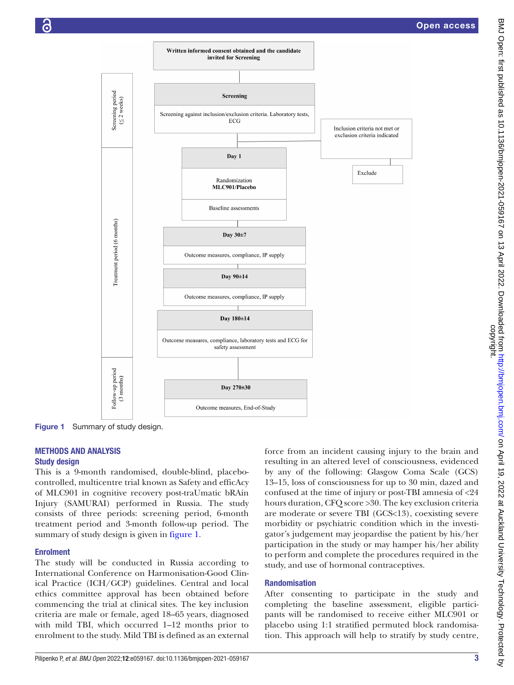

Figure 1 Summary of study design.

#### METHODS AND ANALYSIS Study design

This is a 9-month randomised, double-blind, placebocontrolled, multicentre trial known as Safety and efficAcy of MLC901 in cognitive recovery post-traUmatic bRAin Injury (SAMURAI) performed in Russia. The study consists of three periods: screening period, 6-month treatment period and 3-month follow-up period. The summary of study design is given in [figure](#page-2-0) 1.

#### Enrolment

The study will be conducted in Russia according to International Conference on Harmonisation-Good Clinical Practice (ICH/GCP) guidelines. Central and local ethics committee approval has been obtained before commencing the trial at clinical sites. The key inclusion criteria are male or female, aged 18–65 years, diagnosed with mild TBI, which occurred 1–12 months prior to enrolment to the study. Mild TBI is defined as an external <span id="page-2-0"></span>force from an incident causing injury to the brain and resulting in an altered level of consciousness, evidenced by any of the following: Glasgow Coma Scale (GCS) 13–15, loss of consciousness for up to 30 min, dazed and confused at the time of injury or post-TBI amnesia of <24 hours duration, CFQ score >30. The key exclusion criteria are moderate or severe TBI (GCS<13), coexisting severe morbidity or psychiatric condition which in the investigator's judgement may jeopardise the patient by his/her participation in the study or may hamper his/her ability to perform and complete the procedures required in the study, and use of hormonal contraceptives.

#### Randomisation

After consenting to participate in the study and completing the baseline assessment, eligible participants will be randomised to receive either MLC901 or placebo using 1:1 stratified permuted block randomisation. This approach will help to stratify by study centre,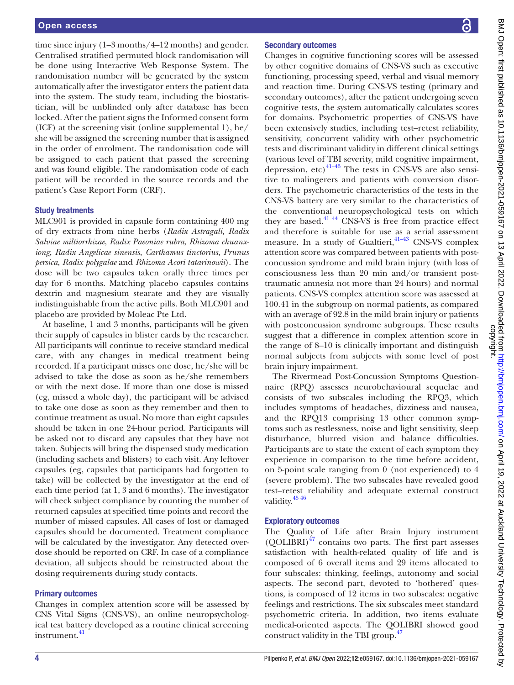time since injury (1–3 months/4–12 months) and gender. Centralised stratified permuted block randomisation will be done using Interactive Web Response System. The randomisation number will be generated by the system automatically after the investigator enters the patient data into the system. The study team, including the biostatistician, will be unblinded only after database has been locked. After the patient signs the Informed consent form (ICF) at the screening visit ([online supplemental 1\)](https://dx.doi.org/10.1136/bmjopen-2021-059167), he/ she will be assigned the screening number that is assigned in the order of enrolment. The randomisation code will be assigned to each patient that passed the screening and was found eligible. The randomisation code of each patient will be recorded in the source records and the patient's Case Report Form (CRF).

#### Study treatments

MLC901 is provided in capsule form containing 400 mg of dry extracts from nine herbs (*Radix Astragali*, *Radix Salviae miltiorrhizae*, *Radix Paeoniae rubra*, *Rhizoma chuanxiong*, *Radix Angelicae sinensis*, *Carthamus tinctorius*, *Prunus persica*, *Radix polygalae* and *Rhizoma Acori tatarinowii*). The dose will be two capsules taken orally three times per day for 6 months. Matching placebo capsules contains dextrin and magnesium stearate and they are visually indistinguishable from the active pills. Both MLC901 and placebo are provided by Moleac Pte Ltd.

At baseline, 1 and 3 months, participants will be given their supply of capsules in blister cards by the researcher. All participants will continue to receive standard medical care, with any changes in medical treatment being recorded. If a participant misses one dose, he/she will be advised to take the dose as soon as he/she remembers or with the next dose. If more than one dose is missed (eg, missed a whole day), the participant will be advised to take one dose as soon as they remember and then to continue treatment as usual. No more than eight capsules should be taken in one 24-hour period. Participants will be asked not to discard any capsules that they have not taken. Subjects will bring the dispensed study medication (including sachets and blisters) to each visit. Any leftover capsules (eg, capsules that participants had forgotten to take) will be collected by the investigator at the end of each time period (at 1, 3 and 6 months). The investigator will check subject compliance by counting the number of returned capsules at specified time points and record the number of missed capsules. All cases of lost or damaged capsules should be documented. Treatment compliance will be calculated by the investigator. Any detected overdose should be reported on CRF. In case of a compliance deviation, all subjects should be reinstructed about the dosing requirements during study contacts.

### Primary outcomes

Changes in complex attention score will be assessed by CNS Vital Signs (CNS-VS), an online neuropsychological test battery developed as a routine clinical screening instrument.<sup>[41](#page-7-14)</sup>

# Secondary outcomes

Changes in cognitive functioning scores will be assessed by other cognitive domains of CNS-VS such as executive functioning, processing speed, verbal and visual memory and reaction time. During CNS-VS testing (primary and secondary outcomes), after the patient undergoing seven cognitive tests, the system automatically calculates scores for domains. Psychometric properties of CNS-VS have been extensively studies, including test–retest reliability, sensitivity, concurrent validity with other psychometric tests and discriminant validity in different clinical settings (various level of TBI severity, mild cognitive impairment, depression, etc) $41-43$  The tests in CNS-VS are also sensitive to malingerers and patients with conversion disorders. The psychometric characteristics of the tests in the CNS-VS battery are very similar to the characteristics of the conventional neuropsychological tests on which they are based.<sup>41 44</sup> CNS-VS is free from practice effect and therefore is suitable for use as a serial assessment measure. In a study of Gualtieri,<sup>41-43</sup> CNS-VS complex attention score was compared between patients with postconcussion syndrome and mild brain injury (with loss of consciousness less than 20 min and/or transient posttraumatic amnesia not more than 24 hours) and normal patients. CNS-VS complex attention score was assessed at 100.41 in the subgroup on normal patients, as compared with an average of 92.8 in the mild brain injury or patients with postconcussion syndrome subgroups. These results suggest that a difference in complex attention score in the range of 8–10 is clinically important and distinguish normal subjects from subjects with some level of post brain injury impairment.

The Rivermead Post-Concussion Symptoms Questionnaire (RPQ) assesses neurobehavioural sequelae and consists of two subscales including the RPQ3, which includes symptoms of headaches, dizziness and nausea, and the RPQ13 comprising 13 other common symptoms such as restlessness, noise and light sensitivity, sleep disturbance, blurred vision and balance difficulties. Participants are to state the extent of each symptom they experience in comparison to the time before accident, on 5-point scale ranging from 0 (not experienced) to 4 (severe problem). The two subscales have revealed good test–retest reliability and adequate external construct validity.[45 46](#page-7-15)

# Exploratory outcomes

The Quality of Life after Brain Injury instrument  $(QOLIBRI)^{47}$  contains two parts. The first part assesses satisfaction with health-related quality of life and is composed of 6 overall items and 29 items allocated to four subscales: thinking, feelings, autonomy and social aspects. The second part, devoted to 'bothered' questions, is composed of 12 items in two subscales: negative feelings and restrictions. The six subscales meet standard psychometric criteria. In addition, two items evaluate medical-oriented aspects. The QOLIBRI showed good construct validity in the TBI group.<sup>[47](#page-7-16)</sup>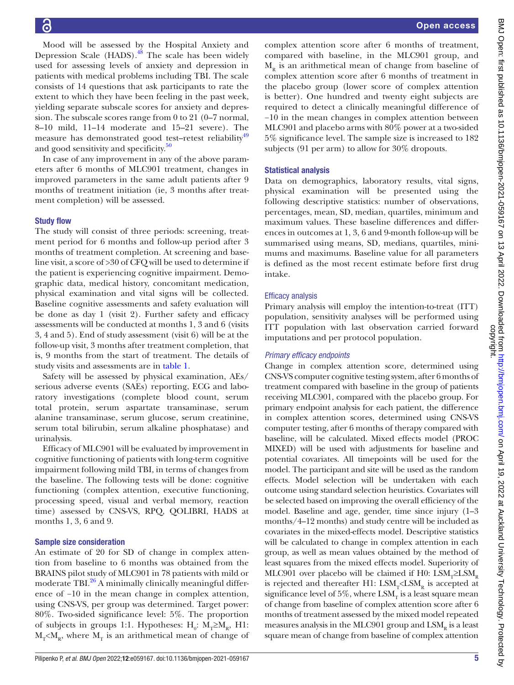Mood will be assessed by the Hospital Anxiety and Depression Scale (HADS).<sup>48</sup> The scale has been widely used for assessing levels of anxiety and depression in patients with medical problems including TBI. The scale consists of 14 questions that ask participants to rate the extent to which they have been feeling in the past week, yielding separate subscale scores for anxiety and depression. The subscale scores range from 0 to 21 (0–7 normal, 8–10 mild, 11–14 moderate and 15–21 severe). The measure has demonstrated good test–retest reliability<sup>49</sup> and good sensitivity and specificity.<sup>[50](#page-8-1)</sup>

In case of any improvement in any of the above parameters after 6 months of MLC901 treatment, changes in improved parameters in the same adult patients after 9 months of treatment initiation (ie, 3 months after treatment completion) will be assessed.

#### Study flow

The study will consist of three periods: screening, treatment period for 6 months and follow-up period after 3 months of treatment completion. At screening and baseline visit, a score of >30 of CFQ will be used to determine if the patient is experiencing cognitive impairment. Demographic data, medical history, concomitant medication, physical examination and vital signs will be collected. Baseline cognitive assessments and safety evaluation will be done as day 1 (visit 2). Further safety and efficacy assessments will be conducted at months 1, 3 and 6 (visits 3, 4 and 5). End of study assessment (visit 6) will be at the follow-up visit, 3 months after treatment completion, that is, 9 months from the start of treatment. The details of study visits and assessments are in [table](#page-5-0) 1.

Safety will be assessed by physical examination, AEs/ serious adverse events (SAEs) reporting, ECG and laboratory investigations (complete blood count, serum total protein, serum aspartate transaminase, serum alanine transaminase, serum glucose, serum creatinine, serum total bilirubin, serum alkaline phosphatase) and urinalysis.

Efficacy of MLC901 will be evaluated by improvement in cognitive functioning of patients with long-term cognitive impairment following mild TBI, in terms of changes from the baseline. The following tests will be done: cognitive functioning (complex attention, executive functioning, processing speed, visual and verbal memory, reaction time) assessed by CNS-VS, RPQ, QOLIBRI, HADS at months 1, 3, 6 and 9.

#### Sample size consideration

An estimate of 20 for SD of change in complex attention from baseline to 6 months was obtained from the BRAINS pilot study of MLC901 in 78 patients with mild or moderate TBI.<sup>26</sup> A minimally clinically meaningful difference of −10 in the mean change in complex attention, using CNS-VS, per group was determined. Target power: 80%. Two-sided significance level: 5%. The proportion of subjects in groups 1:1. Hypotheses: H<sub>0</sub>: M<sub>T</sub>≥M<sub>R</sub>, H1:  $M_T < M_R$ , where  $M_T$  is an arithmetical mean of change of complex attention score after 6 months of treatment, compared with baseline, in the MLC901 group, and  $M_p$  is an arithmetical mean of change from baseline of complex attention score after 6 months of treatment in the placebo group (lower score of complex attention is better). One hundred and twenty eight subjects are required to detect a clinically meaningful difference of −10 in the mean changes in complex attention between MLC901 and placebo arms with 80% power at a two-sided 5% significance level. The sample size is increased to 182 subjects (91 per arm) to allow for 30% dropouts.

#### Statistical analysis

Data on demographics, laboratory results, vital signs, physical examination will be presented using the following descriptive statistics: number of observations, percentages, mean, SD, median, quartiles, minimum and maximum values. These baseline differences and differences in outcomes at 1, 3, 6 and 9-month follow-up will be summarised using means, SD, medians, quartiles, minimums and maximums. Baseline value for all parameters is defined as the most recent estimate before first drug intake.

#### Efficacy analysis

Primary analysis will employ the intention-to-treat (ITT) population, sensitivity analyses will be performed using ITT population with last observation carried forward imputations and per protocol population.

### *Primary efficacy endpoints*

Change in complex attention score, determined using CNS-VS computer cognitive testing system, after 6 months of treatment compared with baseline in the group of patients receiving MLC901, compared with the placebo group. For primary endpoint analysis for each patient, the difference in complex attention scores, determined using CNS-VS computer testing, after 6 months of therapy compared with baseline, will be calculated. Mixed effects model (PROC MIXED) will be used with adjustments for baseline and potential covariates. All timepoints will be used for the model. The participant and site will be used as the random effects. Model selection will be undertaken with each outcome using standard selection heuristics. Covariates will be selected based on improving the overall efficiency of the model. Baseline and age, gender, time since injury (1–3 months/4–12 months) and study centre will be included as covariates in the mixed-effects model. Descriptive statistics will be calculated to change in complex attention in each group, as well as mean values obtained by the method of least squares from the mixed effects model. Superiority of MLC901 over placebo will be claimed if H0: LSM<sub>r</sub>≥LSM<sub>r</sub> is rejected and thereafter H1:  $LSM_r\leq LSM_p$  is accepted at significance level of  $5\%$ , where  $LSM<sub>r</sub>$  is a least square mean of change from baseline of complex attention score after 6 months of treatment assessed by the mixed model repeated measures analysis in the MLC901 group and  $LSM<sub>p</sub>$  is a least square mean of change from baseline of complex attention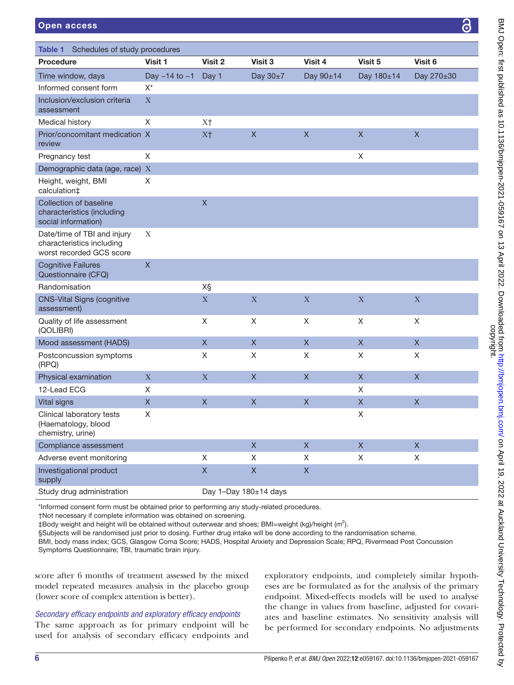| 10.340 |   |
|--------|---|
|        |   |
|        |   |
|        |   |
|        |   |
|        |   |
|        | Ć |
|        |   |
|        |   |
|        |   |

<span id="page-5-0"></span>

| Schedules of study procedures<br>Table 1                                             |                   |                       |              |              |              |                           |  |  |
|--------------------------------------------------------------------------------------|-------------------|-----------------------|--------------|--------------|--------------|---------------------------|--|--|
| <b>Procedure</b>                                                                     | Visit 1           | Visit 2               | Visit 3      | Visit 4      | Visit 5      | Visit 6                   |  |  |
| Time window, days                                                                    | Day $-14$ to $-1$ | Day 1                 | Day 30±7     | Day 90±14    | Day 180±14   | Day 270±30                |  |  |
| Informed consent form                                                                | $X^*$             |                       |              |              |              |                           |  |  |
| Inclusion/exclusion criteria<br>assessment                                           | $\mathbf X$       |                       |              |              |              |                           |  |  |
| Medical history                                                                      | X                 | X <sup>†</sup>        |              |              |              |                           |  |  |
| Prior/concomitant medication X<br>review                                             |                   | X <sup>†</sup>        | $\mathsf X$  | $\mathsf X$  | $\mathsf X$  | $\mathsf X$               |  |  |
| Pregnancy test                                                                       | X                 |                       |              |              | X            |                           |  |  |
| Demographic data (age, race) X                                                       |                   |                       |              |              |              |                           |  |  |
| Height, weight, BMI<br>calculation‡                                                  | X                 |                       |              |              |              |                           |  |  |
| Collection of baseline<br>characteristics (including<br>social information)          |                   | $\mathsf{X}$          |              |              |              |                           |  |  |
| Date/time of TBI and injury<br>characteristics including<br>worst recorded GCS score | X                 |                       |              |              |              |                           |  |  |
| <b>Cognitive Failures</b><br>Questionnaire (CFQ)                                     | $\mathsf X$       |                       |              |              |              |                           |  |  |
| Randomisation                                                                        |                   | X§                    |              |              |              |                           |  |  |
| <b>CNS-Vital Signs (cognitive</b><br>assessment)                                     |                   | $\mathbf X$           | X            | $\mathbf X$  | $\mathbf X$  | $\mathbf X$               |  |  |
| Quality of life assessment<br>(QOLIBRI)                                              |                   | X                     | X            | X            | X            | X                         |  |  |
| Mood assessment (HADS)                                                               |                   | $\mathsf X$           | $\mathsf{X}$ | $\mathsf{X}$ | $\mathsf{X}$ | $\mathsf X$               |  |  |
| Postconcussion symptoms<br>(RPQ)                                                     |                   | Χ                     | X            | X            | X            | X                         |  |  |
| Physical examination                                                                 | $\mathbf X$       | $\mathbf X$           | $\mathsf X$  | $\mathsf X$  | $\mathsf{X}$ | $\mathsf X$               |  |  |
| 12-Lead ECG                                                                          | X                 |                       |              |              | X            |                           |  |  |
| <b>Vital signs</b>                                                                   | $\mathsf X$       | $\mathsf X$           | $\mathsf X$  | X            | $\mathsf X$  | $\boldsymbol{\mathsf{X}}$ |  |  |
| Clinical laboratory tests<br>(Haematology, blood<br>chemistry, urine)                | X                 |                       |              |              | X            |                           |  |  |
| Compliance assessment                                                                |                   |                       | $\mathsf{X}$ | $\mathsf X$  | $\mathsf{X}$ | $\mathsf{X}$              |  |  |
| Adverse event monitoring                                                             |                   | $\mathsf X$           | $\mathsf X$  | X            | X            | $\mathsf X$               |  |  |
| Investigational product<br>supply                                                    |                   | $\mathsf X$           | $\mathsf X$  | $\mathsf X$  |              |                           |  |  |
| Study drug administration                                                            |                   | Day 1-Day 180±14 days |              |              |              |                           |  |  |

\*Informed consent form must be obtained prior to performing any study-related procedures.

†Not necessary if complete information was obtained on screening.

 $\pm$ Body weight and height will be obtained without outerwear and shoes; BMI=weight (kg)/height (m<sup>2</sup>).

§Subjects will be randomised just prior to dosing. Further drug intake will be done according to the randomisation scheme.

BMI, body mass index; GCS, Glasgow Coma Score; HADS, Hospital Anxiety and Depression Scale; RPQ, Rivermead Post Concussion Symptoms Questionnaire; TBI, traumatic brain injury.

score after 6 months of treatment assessed by the mixed model repeated measures analysis in the placebo group (lower score of complex attention is better).

### *Secondary efficacy endpoints and exploratory efficacy endpoints*

The same approach as for primary endpoint will be used for analysis of secondary efficacy endpoints and

exploratory endpoints, and completely similar hypotheses are be formulated as for the analysis of the primary endpoint. Mixed-effects models will be used to analyse the change in values from baseline, adjusted for covariates and baseline estimates. No sensitivity analysis will be performed for secondary endpoints. No adjustments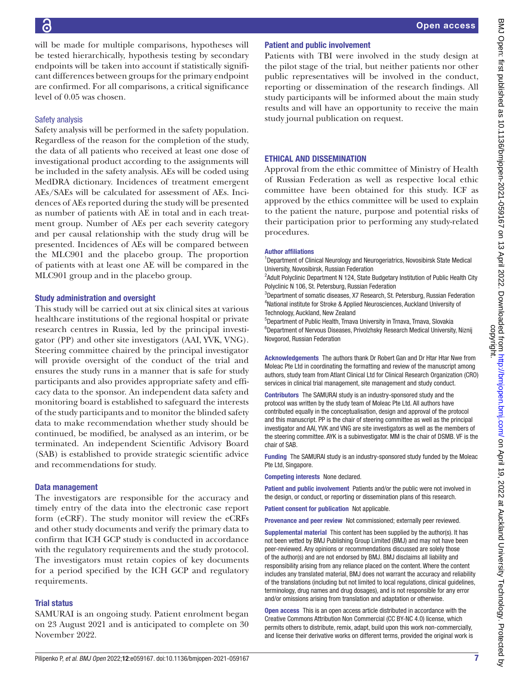will be made for multiple comparisons, hypotheses will be tested hierarchically, hypothesis testing by secondary endpoints will be taken into account if statistically significant differences between groups for the primary endpoint are confirmed. For all comparisons, a critical significance level of 0.05 was chosen. Safety analysis Safety analysis will be performed in the safety population. Regardless of the reason for the completion of the study, the data of all patients who received at least one dose of investigational product according to the assignments will be included in the safety analysis. AEs will be coded using MedDRA dictionary. Incidences of treatment emergent AEs/SAEs will be calculated for assessment of AEs. Incidences of AEs reported during the study will be presented as number of patients with AE in total and in each treatment group. Number of AEs per each severity category and per causal relationship with the study drug will be presented. Incidences of AEs will be compared between the MLC901 and the placebo group. The proportion of patients with at least one AE will be compared in the MLC901 group and in the placebo group.

# Study administration and oversight

This study will be carried out at six clinical sites at various healthcare institutions of the regional hospital or private research centres in Russia, led by the principal investigator (PP) and other site investigators (AAI, YVK, VNG). Steering committee chaired by the principal investigator will provide oversight of the conduct of the trial and ensures the study runs in a manner that is safe for study participants and also provides appropriate safety and efficacy data to the sponsor. An independent data safety and monitoring board is established to safeguard the interests of the study participants and to monitor the blinded safety data to make recommendation whether study should be continued, be modified, be analysed as an interim, or be terminated. An independent Scientific Advisory Board (SAB) is established to provide strategic scientific advice and recommendations for study.

# Data management

The investigators are responsible for the accuracy and timely entry of the data into the electronic case report form (eCRF). The study monitor will review the eCRFs and other study documents and verify the primary data to confirm that ICH GCP study is conducted in accordance with the regulatory requirements and the study protocol. The investigators must retain copies of key documents for a period specified by the ICH GCP and regulatory requirements.

# Trial status

SAMURAI is an ongoing study. Patient enrolment began on 23 August 2021 and is anticipated to complete on 30 November 2022.

# Patient and public involvement

Patients with TBI were involved in the study design at the pilot stage of the trial, but neither patients nor other public representatives will be involved in the conduct, reporting or dissemination of the research findings. All study participants will be informed about the main study results and will have an opportunity to receive the main study journal publication on request.

# ETHICAL AND DISSEMINATION

Approval from the ethic committee of Ministry of Health of Russian Federation as well as respective local ethic committee have been obtained for this study. ICF as approved by the ethics committee will be used to explain to the patient the nature, purpose and potential risks of their participation prior to performing any study-related procedures.

# Author affiliations

<sup>1</sup>Department of Clinical Neurology and Neurogeriatrics, Novosibirsk State Medical University, Novosibirsk, Russian Federation

<sup>2</sup> Adult Polyclinic Department N 124, State Budgetary Institution of Public Health City Polyclinic N 106, St. Petersburg, Russian Federation

<sup>3</sup>Department of somatic diseases, X7 Research, St. Petersburg, Russian Federation 4 National institute for Stroke & Applied Neurosciences, Auckland University of Technology, Auckland, New Zealand

5 Department of Public Health, Trnava University in Trnava, Trnava, Slovakia <sup>6</sup>Department of Nervous Diseases, Privolzhsky Research Medical University, Niznij Novgorod, Russian Federation

Acknowledgements The authors thank Dr Robert Gan and Dr Htar Htar Nwe from Moleac Pte Ltd in coordinating the formatting and review of the manuscript among authors, study team from Atlant Clinical Ltd for Clinical Research Organization (CRO) services in clinical trial management, site management and study conduct.

Contributors The SAMURAI study is an industry-sponsored study and the protocol was written by the study team of Moleac Pte Ltd. All authors have contributed equally in the conceptualisation, design and approval of the protocol and this manuscript. PP is the chair of steering committee as well as the principal investigator and AAI, YVK and VNG are site investigators as well as the members of the steering committee. AYK is a subinvestigator. MM is the chair of DSMB. VF is the chair of SAB.

Funding The SAMURAI study is an industry-sponsored study funded by the Moleac Pte Ltd, Singapore.

Competing interests None declared.

Patient and public involvement Patients and/or the public were not involved in the design, or conduct, or reporting or dissemination plans of this research.

Patient consent for publication Not applicable.

Provenance and peer review Not commissioned; externally peer reviewed.

Supplemental material This content has been supplied by the author(s). It has not been vetted by BMJ Publishing Group Limited (BMJ) and may not have been peer-reviewed. Any opinions or recommendations discussed are solely those of the author(s) and are not endorsed by BMJ. BMJ disclaims all liability and responsibility arising from any reliance placed on the content. Where the content includes any translated material, BMJ does not warrant the accuracy and reliability of the translations (including but not limited to local regulations, clinical guidelines, terminology, drug names and drug dosages), and is not responsible for any error and/or omissions arising from translation and adaptation or otherwise.

Open access This is an open access article distributed in accordance with the Creative Commons Attribution Non Commercial (CC BY-NC 4.0) license, which permits others to distribute, remix, adapt, build upon this work non-commercially, and license their derivative works on different terms, provided the original work is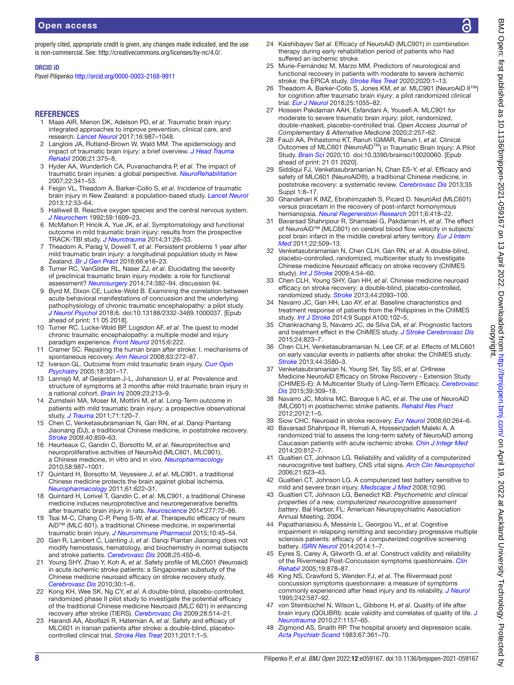properly cited, appropriate credit is given, any changes made indicated, and the use is non-commercial. See: [http://creativecommons.org/licenses/by-nc/4.0/.](http://creativecommons.org/licenses/by-nc/4.0/)

#### ORCID iD

Pavel Pilipenko <http://orcid.org/0000-0003-2168-9911>

#### **REFERENCES**

- <span id="page-7-0"></span>1 Maas AIR, Menon DK, Adelson PD, *et al*. Traumatic brain injury: integrated approaches to improve prevention, clinical care, and research. *[Lancet Neurol](http://dx.doi.org/10.1016/S1474-4422(17)30371-X)* 2017;16:987–1048.
- 2 Langlois JA, Rutland-Brown W, Wald MM. The epidemiology and impact of traumatic brain injury: a brief overview. *[J Head Trauma](http://dx.doi.org/10.1097/00001199-200609000-00001)  [Rehabil](http://dx.doi.org/10.1097/00001199-200609000-00001)* 2006;21:375–8.
- 3 Hyder AA, Wunderlich CA, Puvanachandra P, *et al*. The impact of traumatic brain injuries: a global perspective. *[NeuroRehabilitation](http://dx.doi.org/10.3233/NRE-2007-22502)* 2007;22:341–53.
- 4 Feigin VL, Theadom A, Barker-Collo S, *et al*. Incidence of traumatic brain injury in New Zealand: a population-based study. *[Lancet Neurol](http://dx.doi.org/10.1016/S1474-4422(12)70262-4)* 2013;12:53–64.
- <span id="page-7-1"></span>5 Halliwell B. Reactive oxygen species and the central nervous system. *[J Neurochem](http://dx.doi.org/10.1111/j.1471-4159.1992.tb10990.x)* 1992;59:1609–23.
- <span id="page-7-2"></span>6 McMahon P, Hricik A, Yue JK, *et al*. Symptomatology and functional outcome in mild traumatic brain injury: results from the prospective TRACK-TBI study. *[J Neurotrauma](http://dx.doi.org/10.1089/neu.2013.2984)* 2014;31:26–33.
- 7 Theadom A, Parag V, Dowell T, *et al*. Persistent problems 1 year after mild traumatic brain injury: a longitudinal population study in New Zealand. *[Br J Gen Pract](http://dx.doi.org/10.3399/bjgp16X683161)* 2016;66:e16–23.
- <span id="page-7-3"></span>8 Turner RC, VanGilder RL, Naser ZJ, *et al*. Elucidating the severity of preclinical traumatic brain injury models: a role for functional assessment? *[Neurosurgery](http://dx.doi.org/10.1227/NEU.0000000000000292)* 2014;74:382–94. discussion 94.
- 9 Byrd M, Dixon CE, Lucke-Wold B. Examining the correlation between acute behavioral manifestations of concussion and the underlying pathophysiology of chronic traumatic encephalopathy: a pilot study. *[J Neurol Psychol](http://dx.doi.org/10.13188/2332-3469.1000037)* 2018;6. doi:10.13188/2332-3469.1000037. [Epub ahead of print: 11 05 2018].
- 10 Turner RC, Lucke-Wold BP, Logsdon AF, *et al*. The quest to model chronic traumatic encephalopathy: a multiple model and injury paradigm experience. *[Front Neurol](http://dx.doi.org/10.3389/fneur.2015.00222)* 2015;6:222.
- <span id="page-7-4"></span>11 Cramer SC. Repairing the human brain after stroke: I. mechanisms of spontaneous recovery. *[Ann Neurol](http://dx.doi.org/10.1002/ana.21393)* 2008;63:272–87.
- <span id="page-7-5"></span>12 Iverson GL. Outcome from mild traumatic brain injury. *[Curr Opin](http://dx.doi.org/10.1097/01.yco.0000165601.29047.ae)  [Psychiatry](http://dx.doi.org/10.1097/01.yco.0000165601.29047.ae)* 2005;18:301–17.
- 13 Lannsjö M, af Geijerstam J-L, Johansson U, *et al*. Prevalence and structure of symptoms at 3 months after mild traumatic brain injury in a national cohort. *[Brain Inj](http://dx.doi.org/10.1080/02699050902748356)* 2009;23:213–9.
- 14 Zumstein MA, Moser M, Mottini M, *et al*. Long-Term outcome in patients with mild traumatic brain injury: a prospective observational study. *[J Trauma](http://dx.doi.org/10.1097/TA.0b013e3181f2d670)* 2011;71:120–7.
- <span id="page-7-6"></span>15 Chen C, Venketasubramanian N, Gan RN, *et al*. Danqi Piantang Jiaonang (DJ), a traditional Chinese medicine, in poststroke recovery. *[Stroke](http://dx.doi.org/10.1161/STROKEAHA.108.531616)* 2009;40:859–63.
- <span id="page-7-7"></span>16 Heurteaux C, Gandin C, Borsotto M, *et al*. Neuroprotective and neuroproliferative activities of NeuroAid (MLC601, MLC901), a Chinese medicine, in vitro and in vivo. *[Neuropharmacology](http://dx.doi.org/10.1016/j.neuropharm.2010.01.001)* 2010;58:987–1001.
- 17 Quintard H, Borsotto M, Veyssiere J, *et al*. MLC901, a traditional Chinese medicine protects the brain against global ischemia. *[Neuropharmacology](http://dx.doi.org/10.1016/j.neuropharm.2011.05.003)* 2011;61:622–31.
- <span id="page-7-8"></span>18 Quintard H, Lorivel T, Gandin C, *et al*. MLC901, a traditional Chinese medicine induces neuroprotective and neuroregenerative benefits after traumatic brain injury in rats. *[Neuroscience](http://dx.doi.org/10.1016/j.neuroscience.2014.06.047)* 2014;277:72–86.
- <span id="page-7-9"></span>19 Tsai M-C, Chang C-P, Peng S-W, *et al*. Therapeutic efficacy of neuro AiD™ (MLC 601), a traditional Chinese medicine, in experimental traumatic brain injury. *[J Neuroimmune Pharmacol](http://dx.doi.org/10.1007/s11481-014-9570-0)* 2015;10:45–54.
- <span id="page-7-13"></span>20 Gan R, Lambert C, Lianting J, *et al*. Danqi Piantan Jiaonang does not modify hemostasis, hematology, and biochemistry in normal subjects and stroke patients. *[Cerebrovasc Dis](http://dx.doi.org/10.1159/000126919)* 2008;25:450–6.
- 21 Young SHY, Zhao Y, Koh A, *et al*. Safety profile of MLC601 (Neuroaid) in acute ischemic stroke patients: a Singaporean substudy of the Chinese medicine neuroaid efficacy on stroke recovery study. *[Cerebrovasc Dis](http://dx.doi.org/10.1159/000313398)* 2010;30:1–6.
- 22 Kong KH, Wee SK, Ng CY, *et al*. A double-blind, placebo-controlled, randomized phase II pilot study to investigate the potential efficacy of the traditional Chinese medicine Neuroaid (MLC 601) in enhancing recovery after stroke (TIERS). *[Cerebrovasc Dis](http://dx.doi.org/10.1159/000247001)* 2009;28:514–21.
- 23 Harandi AA, Abolfazli R, Hatemian A, *et al*. Safety and efficacy of MLC601 in Iranian patients after stroke: a double-blind, placebocontrolled clinical trial. *[Stroke Res Treat](http://dx.doi.org/10.4061/2011/721613)* 2011;2011:1–5.
- 24 Kaishibayev S*et al*. Efficacy of NeuroAiD (MLC901) in combination therapy during early rehabilitation period of patients who had suffered an ischemic stroke.
- 25 Murie-Fernández M, Marzo MM. Predictors of neurological and functional recovery in patients with moderate to severe ischemic stroke: the EPICA study. *[Stroke Res Treat](http://dx.doi.org/10.1155/2020/1419720)* 2020;2020:1–13.
- <span id="page-7-10"></span>26 Theadom A, Barker-Collo S, Jones KM, *et al*. MLC901 (NeuroAiD II™) for cognition after traumatic brain injury: a pilot randomized clinical trial. *[Eur J Neurol](http://dx.doi.org/10.1111/ene.13653)* 2018;25:1055–82.
- <span id="page-7-11"></span>27 Hossein Pakdaman AAH, Esfandani A, Yousefi A. MLC901 for moderate to severe traumatic brain injury: pilot, randomized, double-masked, placebo-controlled trial. *Open Access Journal of Complementary & Alternative Medicine* 2020;2:257–62.
- <span id="page-7-12"></span>28 Fauzi AA, Prihastomo KT, Ranuh IGMAR, Ranuh I, *et al*. Clinical Outcomes of MLC601 (NeuroAiDTM) in Traumatic Brain Injury: A Pilot Study. *[Brain Sci](http://dx.doi.org/10.3390/brainsci10020060)* 2020;10. doi:10.3390/brainsci10020060. [Epub ahead of print: 21 01 2020].
- 29 Siddiqui FJ, Venketasubramanian N, Chan ES-Y, *et al*. Efficacy and safety of MLC601 (NeuroAiD®), a traditional Chinese medicine, in poststroke recovery: a systematic review. *[Cerebrovasc Dis](http://dx.doi.org/10.1159/000346231)* 2013;35 Suppl 1:8–17.
- 30 Ghandehari K IMZ, Ebrahimzadeh S, Picard D. NeuroAid (MLC601) versus piracetam in the recovery of post-infarct homonymous hemianopsia. *[Neural Regeneration Research](http://dx.doi.org/10.3969/j.issn.1673-5374.2011.06.003)* 2011;6:418–22.
- 31 Bavarsad Shahripour R, Shamsaei G, Pakdaman H, *et al*. The effect of NeuroAiD™ (MLC601) on cerebral blood flow velocity in subjects' post brain infarct in the middle cerebral artery territory. *[Eur J Intern](http://dx.doi.org/10.1016/j.ejim.2011.01.002)  [Med](http://dx.doi.org/10.1016/j.ejim.2011.01.002)* 2011;22:509–13.
- 32 Venketasubramanian N, Chen CLH, Gan RN, *et al*. A double-blind, placebo-controlled, randomized, multicenter study to investigate Chinese medicine Neuroaid efficacy on stroke recovery (ChIMES study). *[Int J Stroke](http://dx.doi.org/10.1111/j.1747-4949.2009.00237.x)* 2009;4:54–60.
- 33 Chen CLH, Young SHY, Gan HH, *et al*. Chinese medicine neuroaid efficacy on stroke recovery: a double-blind, placebo-controlled, randomized study. *[Stroke](http://dx.doi.org/10.1161/STROKEAHA.113.002055)* 2013;44:2093–100.
- 34 Navarro JC, Gan HH, Lao AY, *et al*. Baseline characteristics and treatment response of patients from the Philippines in the ChIMES study. *[Int J Stroke](http://dx.doi.org/10.1111/ijs.12324)* 2014;9 Suppl A100:102–5.
- 35 Chankrachang S, Navarro JC, de Silva DA, *et al*. Prognostic factors and treatment effect in the ChIMES study. *[J Stroke Cerebrovasc Dis](http://dx.doi.org/10.1016/j.jstrokecerebrovasdis.2014.11.017)* 2015;24:823–7.
- 36 Chen CLH, Venketasubramanian N, Lee CF, *et al*. Effects of MLC601 on early vascular events in patients after stroke: the ChIMES study. *[Stroke](http://dx.doi.org/10.1161/STROKEAHA.113.003226)* 2013;44:3580–3.
- 37 Venketasubramanian N, Young SH, Tay SS, *et al*. CHInese Medicine NeuroAiD Efficacy on Stroke Recovery - Extension Study (CHIMES-E): A Multicenter Study of Long-Term Efficacy. *[Cerebrovasc](http://dx.doi.org/10.1159/000382082)  [Dis](http://dx.doi.org/10.1159/000382082)* 2015;39:309–18.
- 38 Navarro JC, Molina MC, Baroque Ii AC, *et al*. The use of NeuroAiD (MLC601) in postischemic stroke patients. *[Rehabil Res Pract](http://dx.doi.org/10.1155/2012/506387)* 2012;2012:1–5.
- 39 Siow CHC. Neuroaid in stroke recovery. *[Eur Neurol](http://dx.doi.org/10.1159/000155220)* 2008;60:264–6.
- 40 Bavarsad Shahripour R, Hemati A, Hosseinzadeh Maleki A. A randomized trial to assess the long-term safety of NeuroAiD among Caucasian patients with acute ischemic stroke. *[Chin J Integr Med](http://dx.doi.org/10.1007/s11655-014-1687-8)* 2014;20:812–7.
- <span id="page-7-14"></span>41 Gualtieri CT, Johnson LG. Reliability and validity of a computerized neurocognitive test battery, CNS vital signs. *[Arch Clin Neuropsychol](http://dx.doi.org/10.1016/j.acn.2006.05.007)* 2006;21:623–43.
- 42 Gualtieri CT, Johnson LG. A computerized test battery sensitive to mild and severe brain injury. *[Medscape J Med](http://www.ncbi.nlm.nih.gov/pubmed/18504479)* 2008;10:90.
- 43 Gualtieri CT, Johnson LG, Benedict KB. *Psychometric and clinical properties of a new, computerized neurocognitive assessment battery*. Bal Harbor, FL: American Neuropsychiatric Association Annual Meeting, 2004.
- 44 Papathanasiou A, Messinis L, Georgiou VL, *et al*. Cognitive impairment in relapsing remitting and secondary progressive multiple sclerosis patients: efficacy of a computerized cognitive screening battery. *[ISRN Neurol](http://dx.doi.org/10.1155/2014/151379)* 2014;2014:1–7.
- <span id="page-7-15"></span>45 Eyres S, Carey A, Gilworth G, *et al*. Construct validity and reliability of the Rivermead Post-Concussion symptoms questionnaire. *[Clin](http://dx.doi.org/10.1191/0269215505cr905oa)  [Rehabil](http://dx.doi.org/10.1191/0269215505cr905oa)* 2005;19:878–87.
- 46 King NS, Crawford S, Wenden FJ, *et al*. The Rivermead post concussion symptoms questionnaire: a measure of symptoms commonly experienced after head injury and its reliability. *[J Neurol](http://dx.doi.org/10.1007/BF00868811)* 1995;242:587–92.
- <span id="page-7-16"></span>47 von Steinbüchel N, Wilson L, Gibbons H, *et al*. Quality of life after brain injury (QOLIBRI): scale validity and correlates of quality of life. *[J](http://dx.doi.org/10.1089/neu.2009.1077)  [Neurotrauma](http://dx.doi.org/10.1089/neu.2009.1077)* 2010;27:1157–65.
- <span id="page-7-17"></span>48 Zigmond AS, Snaith RP. The hospital anxiety and depression scale. *[Acta Psychiatr Scand](http://dx.doi.org/10.1111/j.1600-0447.1983.tb09716.x)* 1983;67:361–70.